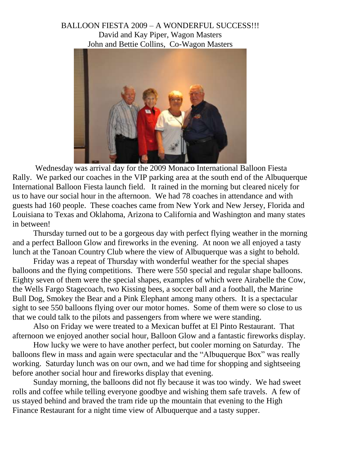## BALLOON FIESTA 2009 – A WONDERFUL SUCCESS!!! David and Kay Piper, Wagon Masters John and Bettie Collins, Co-Wagon Masters



Wednesday was arrival day for the 2009 Monaco International Balloon Fiesta Rally. We parked our coaches in the VIP parking area at the south end of the Albuquerque International Balloon Fiesta launch field. It rained in the morning but cleared nicely for us to have our social hour in the afternoon. We had 78 coaches in attendance and with guests had 160 people. These coaches came from New York and New Jersey, Florida and Louisiana to Texas and Oklahoma, Arizona to California and Washington and many states in between!

Thursday turned out to be a gorgeous day with perfect flying weather in the morning and a perfect Balloon Glow and fireworks in the evening. At noon we all enjoyed a tasty lunch at the Tanoan Country Club where the view of Albuquerque was a sight to behold.

Friday was a repeat of Thursday with wonderful weather for the special shapes balloons and the flying competitions. There were 550 special and regular shape balloons. Eighty seven of them were the special shapes, examples of which were Airabelle the Cow, the Wells Fargo Stagecoach, two Kissing bees, a soccer ball and a football, the Marine Bull Dog, Smokey the Bear and a Pink Elephant among many others. It is a spectacular sight to see 550 balloons flying over our motor homes. Some of them were so close to us that we could talk to the pilots and passengers from where we were standing.

Also on Friday we were treated to a Mexican buffet at El Pinto Restaurant. That afternoon we enjoyed another social hour, Balloon Glow and a fantastic fireworks display.

How lucky we were to have another perfect, but cooler morning on Saturday. The balloons flew in mass and again were spectacular and the "Albuquerque Box" was really working. Saturday lunch was on our own, and we had time for shopping and sightseeing before another social hour and fireworks display that evening.

Sunday morning, the balloons did not fly because it was too windy. We had sweet rolls and coffee while telling everyone goodbye and wishing them safe travels. A few of us stayed behind and braved the tram ride up the mountain that evening to the High Finance Restaurant for a night time view of Albuquerque and a tasty supper.